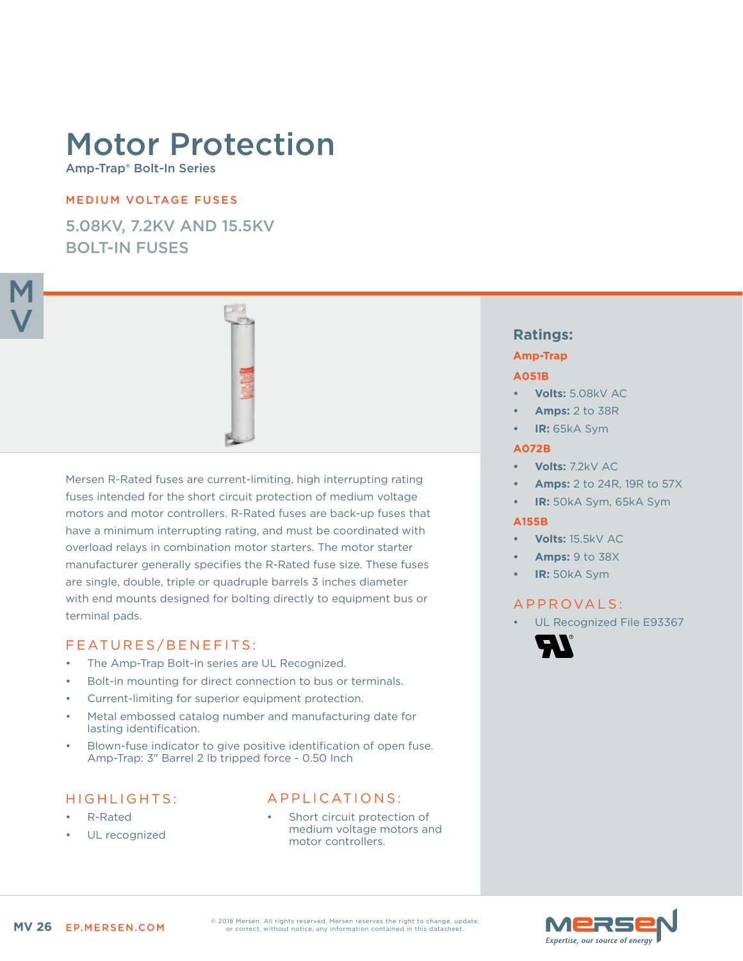# Motor Protection

Amp-Trap® Bolt-In Series

## MEDIUM VOLTAGE FUSES

5.08KV, 7.2KV AND 15.5KV BOLT-IN FUSES



Mersen R-Rated fuses are current-limiting, high interrupting rating fuses intended for the short circuit protection of medium voltage motors and motor controllers. R-Rated fuses are back-up fuses that have a minimum interrupting rating, and must be coordinated with overload relays in combination motor starters. The motor starter manufacturer generally specifies the R-Rated fuse size. These fuses are single, double, triple or quadruple barrels 3 inches diameter with end mounts designed for bolting directly to equipment bus or terminal pads.

## FEATURES/BENEFITS:

- The Amp-Trap Bolt-in series are UL Recognized.
- Bolt-in mounting for direct connection to bus or terminals.
- Current-limiting for superior equipment protection.
- Metal embossed catalog number and manufacturing date for lasting identification.
- Blown-fuse indicator to give positive identification of open fuse. Amp-Trap: 3" Barrel 2 lb tripped force - 0.50 Inch

## HIGHLIGHTS:

- R-Rated
- UL recognized

## APPLICATIONS:

Short circuit protection of medium voltage motors and motor controllers.

# **Ratings:**

### **Amp-Trap**

#### **A051B**

- **• Volts:** 5.08kV AC
- **• Amps:** 2 to 38R
- **• IR:** 65kA Sym

#### **A072B**

- **• Volts:** 7.2kV AC
- **• Amps:** 2 to 24R, 19R to 57X
- **• IR:** 50kA Sym, 65kA Sym

## **A155B**

- **• Volts:** 15.5kV AC
- **• Amps:** 9 to 38X
- **• IR:** 50kA Sym

# A P P R O V A L S :

UL Recognized File E93367





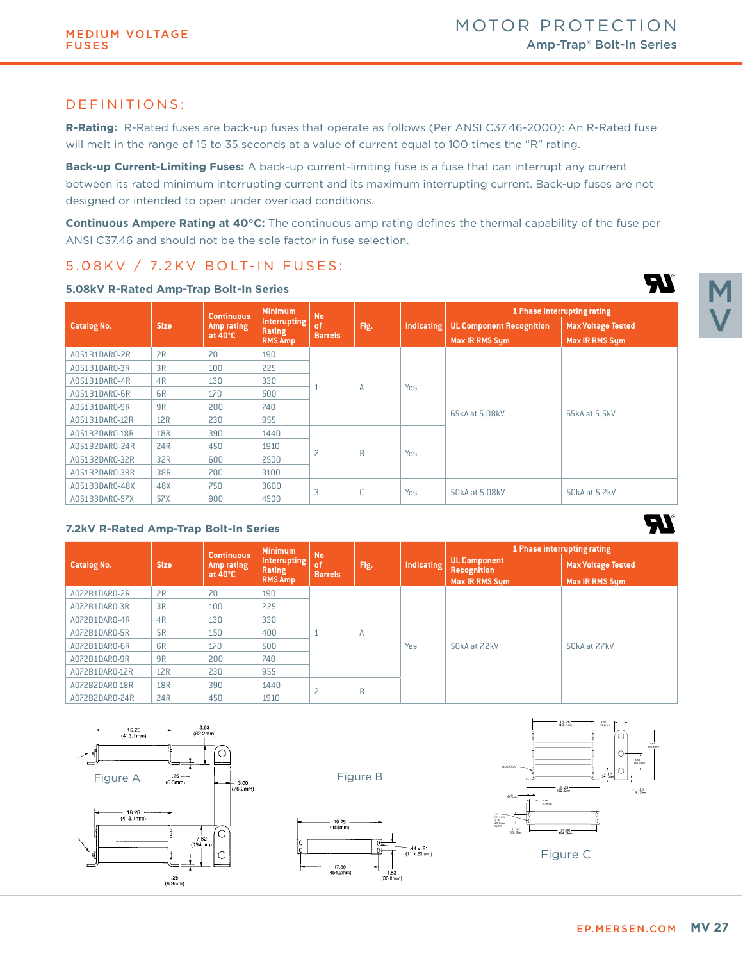## DEFINITIONS:

**R-Rating:** R-Rated fuses are back-up fuses that operate as follows (Per ANSI C37.46-2000): An R-Rated fuse will melt in the range of 15 to 35 seconds at a value of current equal to 100 times the "R" rating.

**Back-up Current-Limiting Fuses:** A back-up current-limiting fuse is a fuse that can interrupt any current between its rated minimum interrupting current and its maximum interrupting current. Back-up fuses are not designed or intended to open under overload conditions.

**Continuous Ampere Rating at 40°C:** The continuous amp rating defines the thermal capability of the fuse per ANSI C37.46 and should not be the sole factor in fuse selection.

# 5.08KV / 7.2KV BOLT-IN FUSES:

|                    |                | <b>Continuous</b> | <b>Minimum</b>                       | <b>No</b>      |      |            | 1 Phase interrupting rating     |                           |  |
|--------------------|----------------|-------------------|--------------------------------------|----------------|------|------------|---------------------------------|---------------------------|--|
| <b>Catalog No.</b> | <b>Size</b>    | Amp rating        | <b>Interrupting</b><br><b>Rating</b> | of             | Fig. | Indicating | <b>UL Component Recognition</b> | <b>Max Voltage Tested</b> |  |
|                    |                | at $40^{\circ}$ C | <b>RMS Amp</b>                       | <b>Barrels</b> |      |            | Max IR RMS Sym                  | Max IR RMS Sym            |  |
| A051B1DAR0-2R      | 2R             | 70                | 190                                  |                | A    | <b>Yes</b> | 65kA at 5.08kV                  | 65kA at 5.5kV             |  |
| A051B1DAR0-3R      | 3R             | 100               | 225                                  |                |      |            |                                 |                           |  |
| A051B1DAR0-4R      | 4R             | 130               | 330                                  |                |      |            |                                 |                           |  |
| A051B1DAR0-6R      | 6 <sub>R</sub> | 170               | 500                                  |                |      |            |                                 |                           |  |
| A051B1DAR0-9R      | 9 <sub>R</sub> | 200               | 740                                  |                |      |            |                                 |                           |  |
| A051B1DAR0-12R     | 12R            | 230               | 955                                  |                |      |            |                                 |                           |  |
| A051B2DAR0-18R     | <b>18R</b>     | 390               | 1440                                 |                | B    | Yes        |                                 |                           |  |
| A051B2DAR0-24R     | 24R            | 450               | 1910                                 |                |      |            |                                 |                           |  |
| A051B2DAR0-32R     | 32R            | 600               | 2500                                 | 2              |      |            |                                 |                           |  |
| A051B2DAR0-38R     | 38R            | 700               | 3100                                 |                |      |            |                                 |                           |  |
| A051B3DAR0-48X     | 48X            | 750               | 3600                                 |                | C    | <b>Yes</b> | 50kA at 5.08kV                  |                           |  |
| A051B3DAR0-57X     | 57X            | 900               | 4500                                 | $\overline{3}$ |      |            |                                 | 50kA at 5.2kV             |  |

#### **5.08kV R-Rated Amp-Trap Bolt-In Series**

#### **7.2kV R-Rated Amp-Trap Bolt-In Series**

|                    |                | <b>Continuous</b>               | <b>Minimum</b>                           | <b>No</b>                |      |                   | 1 Phase interrupting rating                                        |                                                    |  |
|--------------------|----------------|---------------------------------|------------------------------------------|--------------------------|------|-------------------|--------------------------------------------------------------------|----------------------------------------------------|--|
| <b>Catalog No.</b> | <b>Size</b>    | Amp rating<br>at $40^{\circ}$ C | Interrupting<br>Rating<br><b>RMS Amp</b> | of<br><b>Barrels</b>     | Fig. | <b>Indicating</b> | <b>UL Component</b><br><b>Recognition</b><br><b>Max IR RMS Sum</b> | <b>Max Voltage Tested</b><br><b>Max IR RMS Sum</b> |  |
| A072B1DAR0-2R      | 2R             | 70                              | 190                                      |                          | Α    | <b>Yes</b>        | 50kA at 7.2kV                                                      | 50kA at ZZkV                                       |  |
| A072B1DAR0-3R      | 3R             | 100                             | 225                                      |                          |      |                   |                                                                    |                                                    |  |
| A072B1DAR0-4R      | 4R             | 130                             | 330                                      |                          |      |                   |                                                                    |                                                    |  |
| A072B1DAR0-5R      | <b>5R</b>      | 150                             | 400                                      |                          |      |                   |                                                                    |                                                    |  |
| A072B1DAR0-6R      | 6 <sub>R</sub> | 170                             | 500                                      |                          |      |                   |                                                                    |                                                    |  |
| A072B1DAR0-9R      | 9R             | 200                             | 740                                      |                          |      |                   |                                                                    |                                                    |  |
| A072B1DAR0-12R     | 12R            | 230                             | 955                                      |                          |      |                   |                                                                    |                                                    |  |
| A072B2DAR0-18R     | <b>18R</b>     | 390                             | 1440                                     | $\overline{\phantom{0}}$ | B    |                   |                                                                    |                                                    |  |
| A072B2DAR0-24R     | 24R            | 450                             | 1910                                     |                          |      |                   |                                                                    |                                                    |  |

0

0ŧ

 $1.\overline{53}$ <br>(38.8mm)

--<br>-- .44 x .91<br>(11 x 23mm)





M

QV

EV